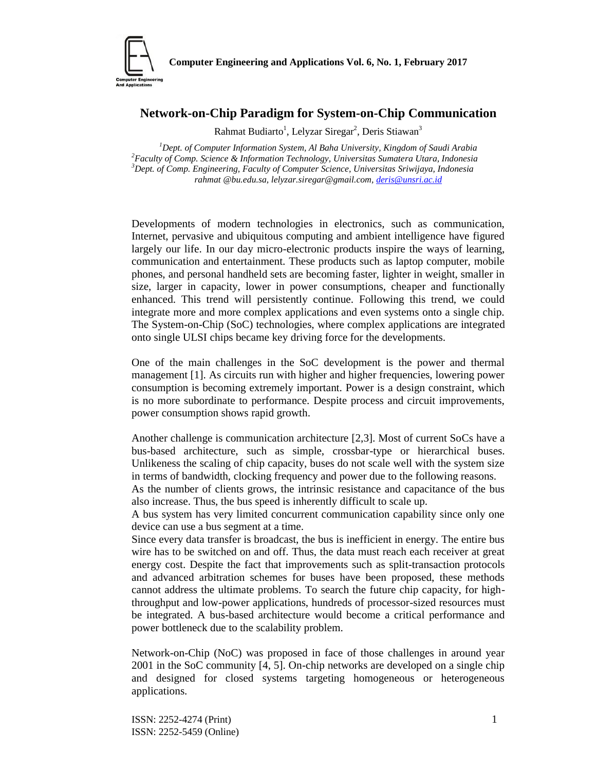

## **Network-on-Chip Paradigm for System-on-Chip Communication**

Rahmat Budiarto<sup>1</sup>, Lelyzar Siregar<sup>2</sup>, Deris Stiawan<sup>3</sup>

*Dept. of Computer Information System, Al Baha University, Kingdom of Saudi Arabia Faculty of Comp. Science & Information Technology, Universitas Sumatera Utara, Indonesia Dept. of Comp. Engineering, Faculty of Computer Science, Universitas Sriwijaya, Indonesia rahmat @bu.edu.sa, lelyzar.siregar@gmail.com, deris@unsri.ac.id*

Developments of modern technologies in electronics, such as communication, Internet, pervasive and ubiquitous computing and ambient intelligence have figured largely our life. In our day micro-electronic products inspire the ways of learning, communication and entertainment. These products such as laptop computer, mobile phones, and personal handheld sets are becoming faster, lighter in weight, smaller in size, larger in capacity, lower in power consumptions, cheaper and functionally enhanced. This trend will persistently continue. Following this trend, we could integrate more and more complex applications and even systems onto a single chip. The System-on-Chip (SoC) technologies, where complex applications are integrated onto single ULSI chips became key driving force for the developments.

One of the main challenges in the SoC development is the power and thermal management [1]. As circuits run with higher and higher frequencies, lowering power consumption is becoming extremely important. Power is a design constraint, which is no more subordinate to performance. Despite process and circuit improvements, power consumption shows rapid growth.

Another challenge is communication architecture [2,3]. Most of current SoCs have a bus-based architecture, such as simple, crossbar-type or hierarchical buses. Unlikeness the scaling of chip capacity, buses do not scale well with the system size in terms of bandwidth, clocking frequency and power due to the following reasons.

As the number of clients grows, the intrinsic resistance and capacitance of the bus also increase. Thus, the bus speed is inherently difficult to scale up.

A bus system has very limited concurrent communication capability since only one device can use a bus segment at a time.

Since every data transfer is broadcast, the bus is inefficient in energy. The entire bus wire has to be switched on and off. Thus, the data must reach each receiver at great energy cost. Despite the fact that improvements such as split-transaction protocols and advanced arbitration schemes for buses have been proposed, these methods cannot address the ultimate problems. To search the future chip capacity, for highthroughput and low-power applications, hundreds of processor-sized resources must be integrated. A bus-based architecture would become a critical performance and power bottleneck due to the scalability problem.

Network-on-Chip (NoC) was proposed in face of those challenges in around year 2001 in the SoC community [4, 5]. On-chip networks are developed on a single chip and designed for closed systems targeting homogeneous or heterogeneous applications.

ISSN: 2252-4274 (Print) 1 ISSN: 2252-5459 (Online)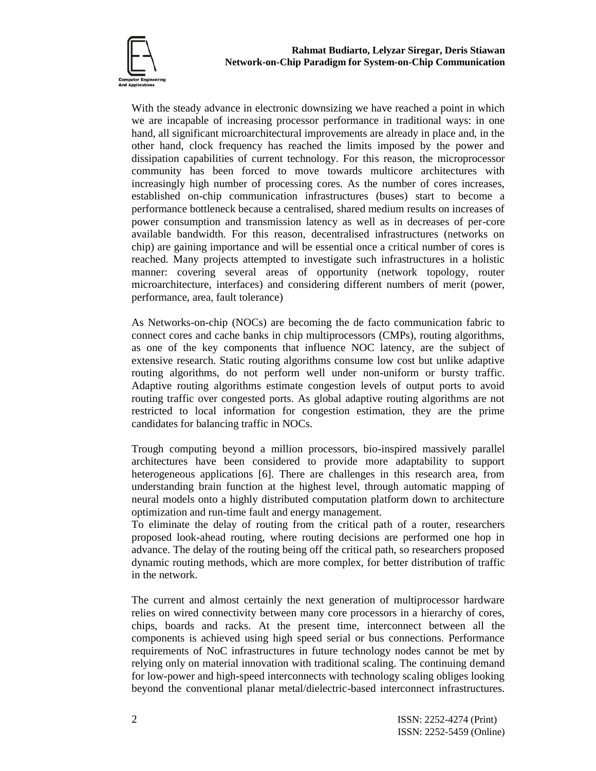

With the steady advance in electronic downsizing we have reached a point in which we are incapable of increasing processor performance in traditional ways: in one hand, all significant microarchitectural improvements are already in place and, in the other hand, clock frequency has reached the limits imposed by the power and dissipation capabilities of current technology. For this reason, the microprocessor community has been forced to move towards multicore architectures with increasingly high number of processing cores. As the number of cores increases, established on-chip communication infrastructures (buses) start to become a performance bottleneck because a centralised, shared medium results on increases of power consumption and transmission latency as well as in decreases of per-core available bandwidth. For this reason, decentralised infrastructures (networks on chip) are gaining importance and will be essential once a critical number of cores is reached. Many projects attempted to investigate such infrastructures in a holistic manner: covering several areas of opportunity (network topology, router microarchitecture, interfaces) and considering different numbers of merit (power, performance, area, fault tolerance)

As Networks-on-chip (NOCs) are becoming the de facto communication fabric to connect cores and cache banks in chip multiprocessors (CMPs), routing algorithms, as one of the key components that influence NOC latency, are the subject of extensive research. Static routing algorithms consume low cost but unlike adaptive routing algorithms, do not perform well under non-uniform or bursty traffic. Adaptive routing algorithms estimate congestion levels of output ports to avoid routing traffic over congested ports. As global adaptive routing algorithms are not restricted to local information for congestion estimation, they are the prime candidates for balancing traffic in NOCs.

Trough computing beyond a million processors, bio-inspired massively parallel architectures have been considered to provide more adaptability to support heterogeneous applications [6]. There are challenges in this research area, from understanding brain function at the highest level, through automatic mapping of neural models onto a highly distributed computation platform down to architecture optimization and run-time fault and energy management.

To eliminate the delay of routing from the critical path of a router, researchers proposed look-ahead routing, where routing decisions are performed one hop in advance. The delay of the routing being off the critical path, so researchers proposed dynamic routing methods, which are more complex, for better distribution of traffic in the network.

The current and almost certainly the next generation of multiprocessor hardware relies on wired connectivity between many core processors in a hierarchy of cores, chips, boards and racks. At the present time, interconnect between all the components is achieved using high speed serial or bus connections. Performance requirements of NoC infrastructures in future technology nodes cannot be met by relying only on material innovation with traditional scaling. The continuing demand for low-power and high-speed interconnects with technology scaling obliges looking beyond the conventional planar metal/dielectric-based interconnect infrastructures.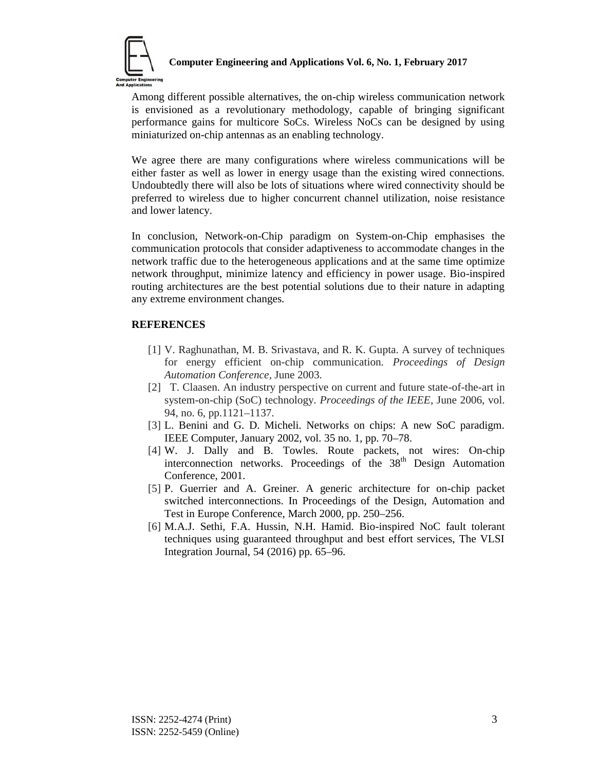

## **Computer Engineering and Applications Vol. 6, No. 1, February 2017**

Among different possible alternatives, the on-chip wireless communication network is envisioned as a revolutionary methodology, capable of bringing significant performance gains for multicore SoCs. Wireless NoCs can be designed by using miniaturized on-chip antennas as an enabling technology.

We agree there are many configurations where wireless communications will be either faster as well as lower in energy usage than the existing wired connections. Undoubtedly there will also be lots of situations where wired connectivity should be preferred to wireless due to higher concurrent channel utilization, noise resistance and lower latency.

In conclusion, Network-on-Chip paradigm on System-on-Chip emphasises the communication protocols that consider adaptiveness to accommodate changes in the network traffic due to the heterogeneous applications and at the same time optimize network throughput, minimize latency and efficiency in power usage. Bio-inspired routing architectures are the best potential solutions due to their nature in adapting any extreme environment changes.

## **REFERENCES**

- [1] V. Raghunathan, M. B. Srivastava, and R. K. Gupta. A survey of techniques for energy efficient on-chip communication. *Proceedings of Design Automation Conference*, June 2003.
- [2] T. Claasen. An industry perspective on current and future state-of-the-art in system-on-chip (SoC) technology. *Proceedings of the IEEE*, June 2006, vol. 94, no. 6, pp.1121–1137.
- [3] L. Benini and G. D. Micheli. Networks on chips: A new SoC paradigm. IEEE Computer, January 2002, vol. 35 no. 1, pp. 70–78.
- [4] W. J. Dally and B. Towles. Route packets, not wires: On-chip interconnection networks. Proceedings of the 38<sup>th</sup> Design Automation Conference, 2001.
- [5] P. Guerrier and A. Greiner. A generic architecture for on-chip packet switched interconnections. In Proceedings of the Design, Automation and Test in Europe Conference, March 2000, pp. 250–256.
- [6] M.A.J. Sethi, F.A. Hussin, N.H. Hamid. Bio-inspired NoC fault tolerant techniques using guaranteed throughput and best effort services, The VLSI Integration Journal, 54 (2016) pp. 65–96.